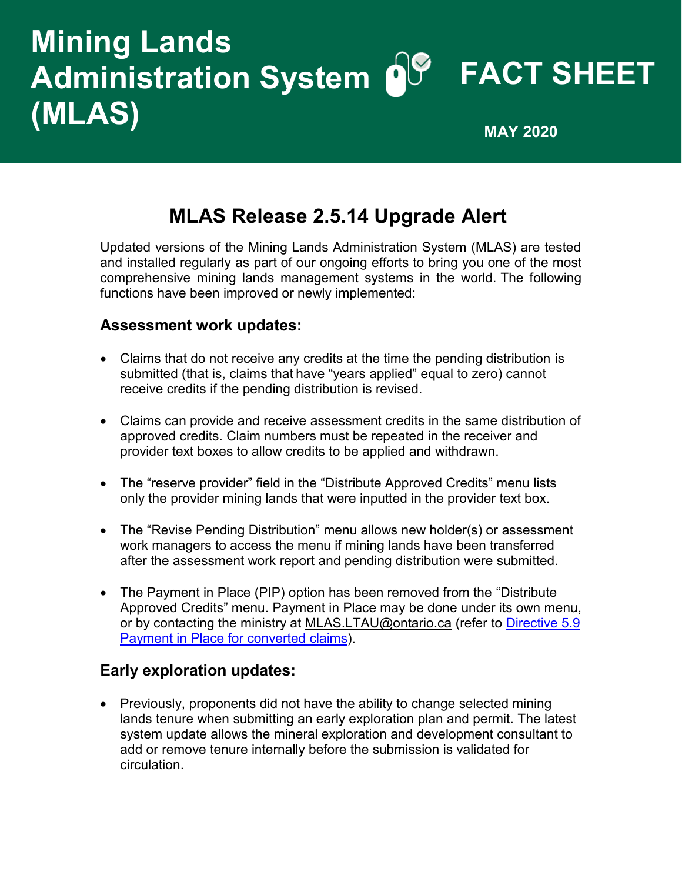# **FACT SHEET Administration System Mining Lands (MLAS) MAY 2020**

## **MLAS Release 2.5.14 Upgrade Alert**

Updated versions of the Mining Lands Administration System (MLAS) are tested and installed regularly as part of our ongoing efforts to bring you one of the most comprehensive mining lands management systems in the world. The following functions have been improved or newly implemented:

#### **Assessment work updates:**

- Claims that do not receive any credits at the time the pending distribution is submitted (that is, claims that have "years applied" equal to zero) cannot receive credits if the pending distribution is revised.
- Claims can provide and receive assessment credits in the same distribution of approved credits. Claim numbers must be repeated in the receiver and provider text boxes to allow credits to be applied and withdrawn.
- The "reserve provider" field in the "Distribute Approved Credits" menu lists only the provider mining lands that were inputted in the provider text box.
- The "Revise Pending Distribution" menu allows new holder(s) or assessment work managers to access the menu if mining lands have been transferred after the assessment work report and pending distribution were submitted.
- The Payment in Place (PIP) option has been removed from the "Distribute Approved Credits" menu. Payment in Place may be done under its own menu, or by contacting the ministry at [MLAS.LTAU@ontario.ca](mailto:MLAS.LTAU@ontario.ca) (refer to Directive 5.9 [Payment in Place for converted claims\)](https://www.mndm.gov.on.ca/en/mines-and-minerals/mlas/directive5-9-payment-in-place-for-converted-claims).

#### **Early exploration updates:**

• Previously, proponents did not have the ability to change selected mining lands tenure when submitting an early exploration plan and permit. The latest system update allows the mineral exploration and development consultant to add or remove tenure internally before the submission is validated for circulation.